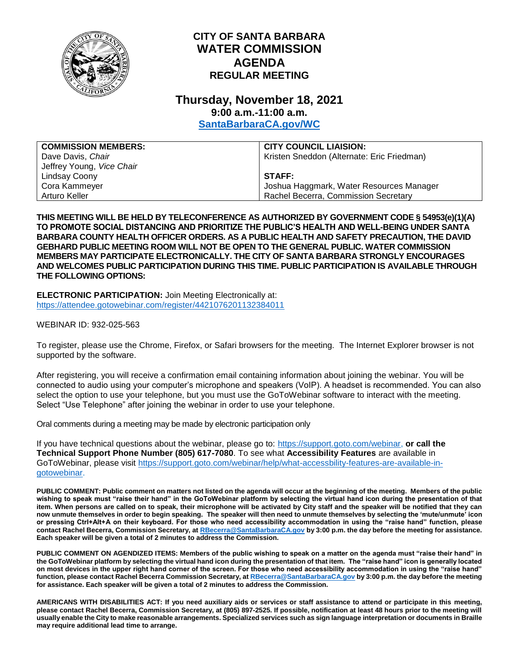

## **CITY OF SANTA BARBARA WATER COMMISSION AGENDA REGULAR MEETING**

## **Thursday, November 18, 2021 9:00 a.m.-11:00 a.m.**

**[SantaBarbaraCA.gov/WC](http://www.santabarbaraca.gov/wc)**

| <b>COMMISSION MEMBERS:</b> | <b>CITY COUNCIL LIAISION:</b>              |
|----------------------------|--------------------------------------------|
| Dave Davis, Chair          | Kristen Sneddon (Alternate: Eric Friedman) |
| Jeffrey Young, Vice Chair  |                                            |
| Lindsay Coony              | STAFF:                                     |
| Cora Kammeyer              | Joshua Haggmark, Water Resources Manager   |
| Arturo Keller              | Rachel Becerra, Commission Secretary       |

**THIS MEETING WILL BE HELD BY TELECONFERENCE AS AUTHORIZED BY GOVERNMENT CODE § 54953(e)(1)(A) TO PROMOTE SOCIAL DISTANCING AND PRIORITIZE THE PUBLIC'S HEALTH AND WELL-BEING UNDER SANTA BARBARA COUNTY HEALTH OFFICER ORDERS. AS A PUBLIC HEALTH AND SAFETY PRECAUTION, THE DAVID GEBHARD PUBLIC MEETING ROOM WILL NOT BE OPEN TO THE GENERAL PUBLIC. WATER COMMISSION MEMBERS MAY PARTICIPATE ELECTRONICALLY. THE CITY OF SANTA BARBARA STRONGLY ENCOURAGES AND WELCOMES PUBLIC PARTICIPATION DURING THIS TIME. PUBLIC PARTICIPATION IS AVAILABLE THROUGH THE FOLLOWING OPTIONS:**

**ELECTRONIC PARTICIPATION:** Join Meeting Electronically at: <https://attendee.gotowebinar.com/register/4421076201132384011>

WEBINAR ID: 932-025-563

To register, please use the Chrome, Firefox, or Safari browsers for the meeting. The Internet Explorer browser is not supported by the software.

After registering, you will receive a confirmation email containing information about joining the webinar. You will be connected to audio using your computer's microphone and speakers (VoIP). A headset is recommended. You can also select the option to use your telephone, but you must use the GoToWebinar software to interact with the meeting. Select "Use Telephone" after joining the webinar in order to use your telephone.

Oral comments during a meeting may be made by electronic participation only

If you have technical questions about the webinar, please go to: [https://support.goto.com/webinar,](https://support.goto.com/webinar) **or call the Technical Support Phone Number (805) 617-7080**. To see what **Accessibility Features** are available in GoToWebinar, please visit [https://support.goto.com/webinar/help/what-accessbility-features-are-available-in](https://support.goto.com/webinar/help/what-accessbility-features-are-available-in-gotowebinar)[gotowebinar.](https://support.goto.com/webinar/help/what-accessbility-features-are-available-in-gotowebinar)

**PUBLIC COMMENT: Public comment on matters not listed on the agenda will occur at the beginning of the meeting. Members of the public wishing to speak must "raise their hand" in the GoToWebinar platform by selecting the virtual hand icon during the presentation of that item. When persons are called on to speak, their microphone will be activated by City staff and the speaker will be notified that they can now unmute themselves in order to begin speaking. The speaker will then need to unmute themselves by selecting the 'mute/unmute' icon or pressing Ctrl+Alt+A on their keyboard. For those who need accessibility accommodation in using the "raise hand" function, please contact Rachel Becerra, Commission Secretary, a[t RBecerra@SantaBarbaraCA.gov](mailto:RBecerra@SantaBarbaraCA.gov) by 3:00 p.m. the day before the meeting for assistance. Each speaker will be given a total of 2 minutes to address the Commission.** 

**PUBLIC COMMENT ON AGENDIZED ITEMS: Members of the public wishing to speak on a matter on the agenda must "raise their hand" in the GoToWebinar platform by selecting the virtual hand icon during the presentation of that item. The "raise hand" icon is generally located on most devices in the upper right hand corner of the screen. For those who need accessibility accommodation in using the "raise hand" function, please contact Rachel Becerra Commission Secretary, a[t RBecerra@SantaBarbaraCA.gov](mailto:RBecerra@SantaBarbaraCA.gov) by 3:00 p.m. the day before the meeting for assistance. Each speaker will be given a total of 2 minutes to address the Commission.** 

**AMERICANS WITH DISABILITIES ACT: If you need auxiliary aids or services or staff assistance to attend or participate in this meeting, please contact Rachel Becerra, Commission Secretary, at (805) 897-2525. If possible, notification at least 48 hours prior to the meeting will usually enable the City to make reasonable arrangements. Specialized services such as sign language interpretation or documents in Braille may require additional lead time to arrange.**